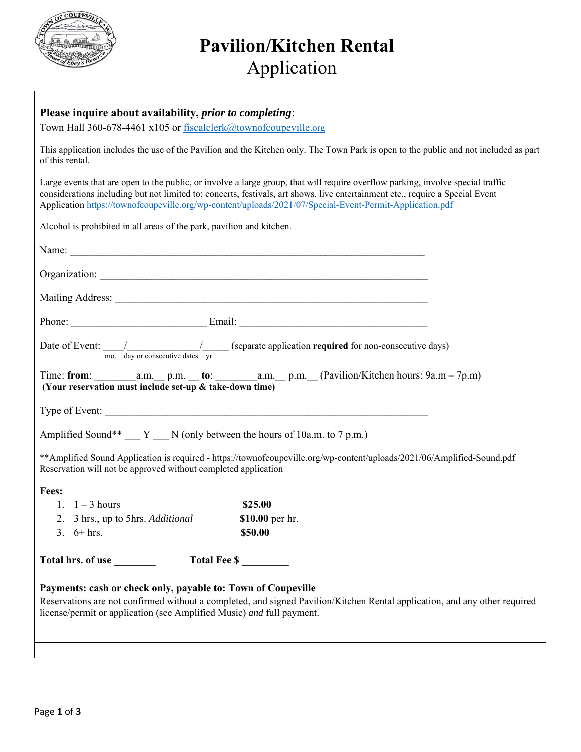

# **Pavilion/Kitchen Rental** Application

Town Hall 360-678-4461 x105 or fiscalclerk@townofcoupeville.org

This application includes the use of the Pavilion and the Kitchen only. The Town Park is open to the public and not included as part of this rental.

Large events that are open to the public, or involve a large group, that will require overflow parking, involve special traffic considerations including but not limited to; concerts, festivals, art shows, live entertainment etc., require a Special Event Application https://townofcoupeville.org/wp-content/uploads/2021/07/Special-Event-Permit-Application.pdf

Alcohol is prohibited in all areas of the park, pavilion and kitchen.

|                                                                                                                                                                                                                                                                     | Date of Event: $\frac{1}{\text{mo.}}$ $\frac{1}{\text{day or consecutive dates}}$ $\frac{1}{\text{yr.}}$ (separate application required for non-consecutive days) |  |  |  |
|---------------------------------------------------------------------------------------------------------------------------------------------------------------------------------------------------------------------------------------------------------------------|-------------------------------------------------------------------------------------------------------------------------------------------------------------------|--|--|--|
| (Your reservation must include set-up & take-down time)                                                                                                                                                                                                             |                                                                                                                                                                   |  |  |  |
|                                                                                                                                                                                                                                                                     |                                                                                                                                                                   |  |  |  |
| Amplified Sound** __ Y __ N (only between the hours of 10a.m. to 7 p.m.)                                                                                                                                                                                            |                                                                                                                                                                   |  |  |  |
| ** Amplified Sound Application is required - https://townofcoupeville.org/wp-content/uploads/2021/06/Amplified-Sound.pdf<br>Reservation will not be approved without completed application                                                                          |                                                                                                                                                                   |  |  |  |
| Fees:                                                                                                                                                                                                                                                               |                                                                                                                                                                   |  |  |  |
| 1. $1-3$ hours                                                                                                                                                                                                                                                      | \$25.00                                                                                                                                                           |  |  |  |
| 2. 3 hrs., up to 5hrs. Additional                                                                                                                                                                                                                                   | \$10.00 per hr.                                                                                                                                                   |  |  |  |
| 3. $6 + hrs.$                                                                                                                                                                                                                                                       | \$50.00                                                                                                                                                           |  |  |  |
| Total hrs. of use<br>Total Fee \$                                                                                                                                                                                                                                   |                                                                                                                                                                   |  |  |  |
| Payments: cash or check only, payable to: Town of Coupeville<br>Reservations are not confirmed without a completed, and signed Pavilion/Kitchen Rental application, and any other required<br>license/permit or application (see Amplified Music) and full payment. |                                                                                                                                                                   |  |  |  |
|                                                                                                                                                                                                                                                                     |                                                                                                                                                                   |  |  |  |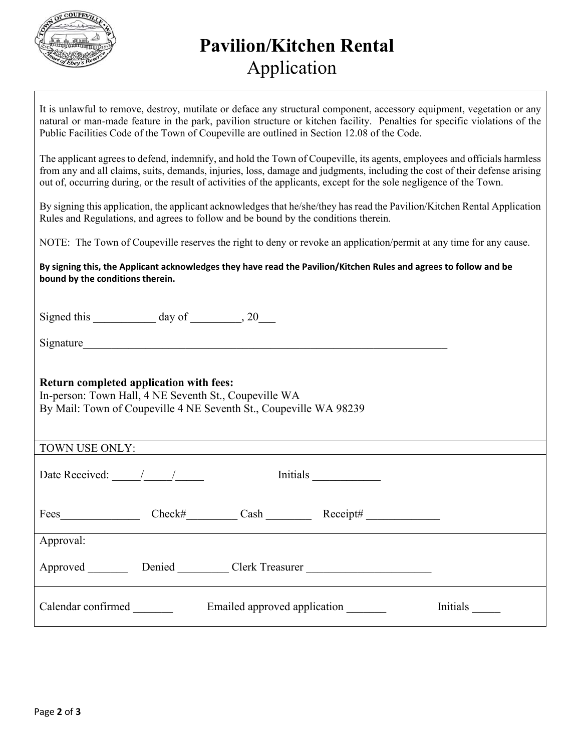

# **Pavilion/Kitchen Rental** Application

It is unlawful to remove, destroy, mutilate or deface any structural component, accessory equipment, vegetation or any natural or man-made feature in the park, pavilion structure or kitchen facility. Penalties for specific violations of the Public Facilities Code of the Town of Coupeville are outlined in Section 12.08 of the Code.

The applicant agrees to defend, indemnify, and hold the Town of Coupeville, its agents, employees and officials harmless from any and all claims, suits, demands, injuries, loss, damage and judgments, including the cost of their defense arising out of, occurring during, or the result of activities of the applicants, except for the sole negligence of the Town.

By signing this application, the applicant acknowledges that he/she/they has read the Pavilion/Kitchen Rental Application Rules and Regulations, and agrees to follow and be bound by the conditions therein.

NOTE: The Town of Coupeville reserves the right to deny or revoke an application/permit at any time for any cause.

**By signing this, the Applicant acknowledges they have read the Pavilion/Kitchen Rules and agrees to follow and be bound by the conditions therein.** 

Signed this  $\_\_\_\_\_\_\$  day of  $\_\_\_\_\$ , 20

Signature

## **Return completed application with fees:**

In-person: Town Hall, 4 NE Seventh St., Coupeville WA By Mail: Town of Coupeville 4 NE Seventh St., Coupeville WA 98239

| TOWN USE ONLY:     |        |                              |                                            |          |
|--------------------|--------|------------------------------|--------------------------------------------|----------|
| Date Received: / / |        | Initials                     |                                            |          |
| Fees               | Check# | Cash                         | $\text{Receipt#}\_\text{max}$              |          |
| Approval:          |        |                              |                                            |          |
| Approved           |        | Denied Clerk Treasurer       | <u> 1980 - Andrea Albert III, martin a</u> |          |
| Calendar confirmed |        | Emailed approved application |                                            | Initials |